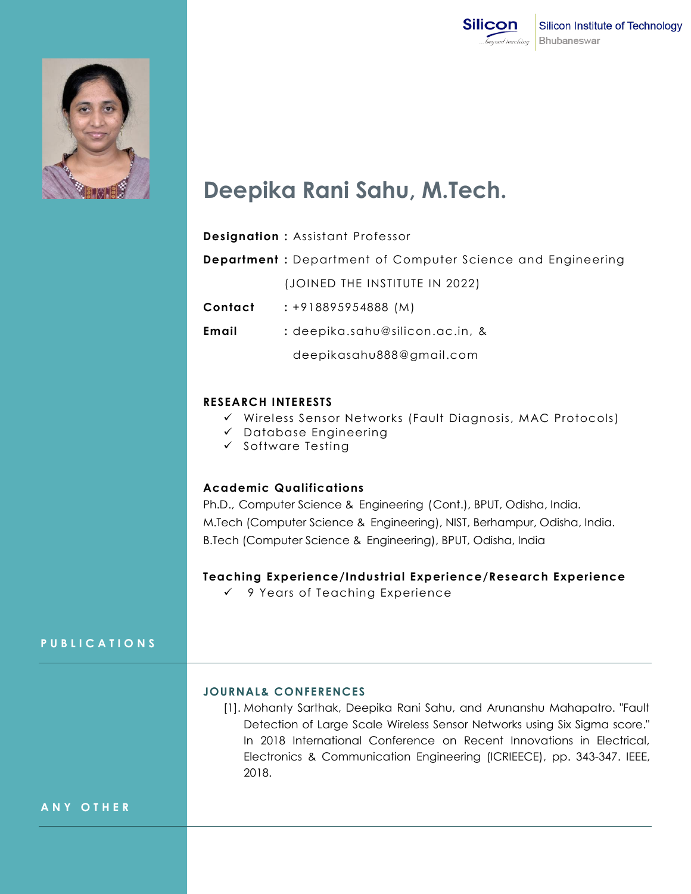



# **Deepika Rani Sahu, M.Tech.**

|         | <b>Designation: Assistant Professor</b>                            |
|---------|--------------------------------------------------------------------|
|         | <b>Department</b> : Department of Computer Science and Engineering |
|         | (JOINED THE INSTITUTE IN 2022)                                     |
| Contact | $: +918895954888(M)$                                               |
| Email   | : deepika.sahu@silicon.ac.in, &                                    |
|         | deepikasahu888@gmail.com                                           |
|         |                                                                    |

#### **RESEARCH INTERESTS**

- Wireless Sensor Networks (Fault Diagnosis, MAC Protocols)
- $\checkmark$  Database Engineering
- $\checkmark$  Software Testing

## **Academic Qualifications**

Ph.D., Computer Science & Engineering (Cont.), BPUT, Odisha, India. M.Tech (Computer Science & Engineering), NIST, Berhampur, Odisha, India. B.Tech (Computer Science & Engineering), BPUT, Odisha, India

### **Teaching Experience/Industrial Experience/Research Experience**

9 Years of Teaching Experience

## **P U B L I C A T I O N S**

#### **JOURNAL& CONFERENCES**

[1]. Mohanty Sarthak, Deepika Rani Sahu, and Arunanshu Mahapatro. "Fault Detection of Large Scale Wireless Sensor Networks using Six Sigma score." In 2018 International Conference on Recent Innovations in Electrical, Electronics & Communication Engineering (ICRIEECE), pp. 343-347. IEEE, 2018.

#### **A N Y O T H E R**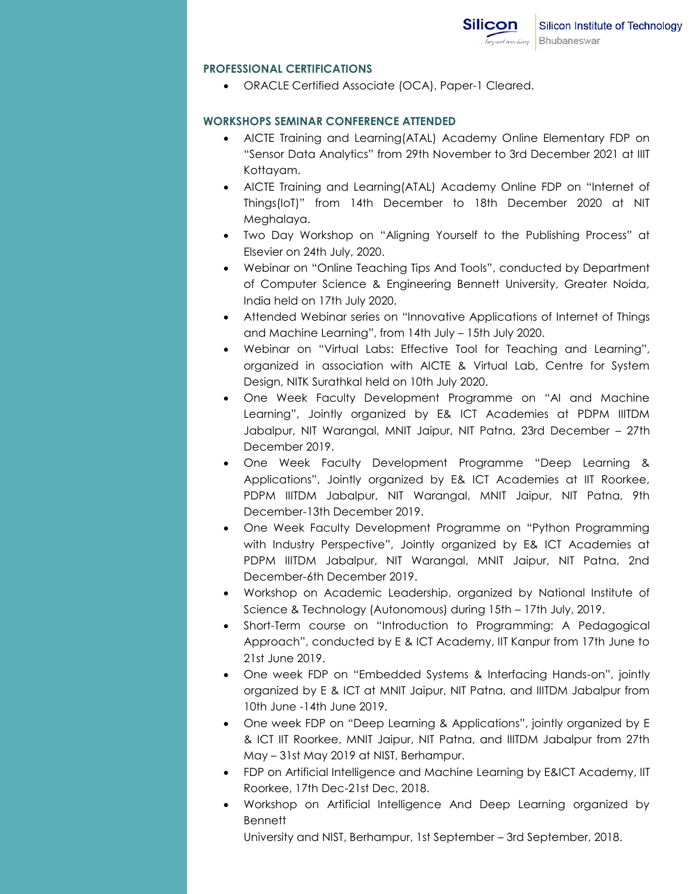## **PROFESSIONAL CERTIFICATIONS**

ORACLE Certified Associate (OCA), Paper-1 Cleared.

## **WORKSHOPS SEMINAR CONFERENCE ATTENDED**

- AICTE Training and Learning(ATAL) Academy Online Elementary FDP on "Sensor Data Analytics" from 29th November to 3rd December 2021 at IIIT Kottayam.
- AICTE Training and Learning(ATAL) Academy Online FDP on "Internet of Things(IoT)" from 14th December to 18th December 2020 at NIT Meghalaya.
- Two Day Workshop on "Aligning Yourself to the Publishing Process" at Elsevier on 24th July, 2020.
- Webinar on "Online Teaching Tips And Tools", conducted by Department of Computer Science & Engineering Bennett University, Greater Noida, India held on 17th July 2020.
- Attended Webinar series on "Innovative Applications of Internet of Things and Machine Learning", from 14th July – 15th July 2020.
- Webinar on "Virtual Labs: Effective Tool for Teaching and Learning", organized in association with AICTE & Virtual Lab, Centre for System Design, NITK Surathkal held on 10th July 2020.
- One Week Faculty Development Programme on "AI and Machine Learning", Jointly organized by E& ICT Academies at PDPM IIITDM Jabalpur, NIT Warangal, MNIT Jaipur, NIT Patna, 23rd December – 27th December 2019.
- One Week Faculty Development Programme "Deep Learning & Applications", Jointly organized by E& ICT Academies at IIT Roorkee, PDPM IIITDM Jabalpur, NIT Warangal, MNIT Jaipur, NIT Patna, 9th December-13th December 2019.
- One Week Faculty Development Programme on "Python Programming with Industry Perspective", Jointly organized by E& ICT Academies at PDPM IIITDM Jabalpur, NIT Warangal, MNIT Jaipur, NIT Patna, 2nd December-6th December 2019.
- Workshop on Academic Leadership, organized by National Institute of Science & Technology (Autonomous) during 15th – 17th July, 2019.
- Short-Term course on "Introduction to Programming: A Pedagogical Approach", conducted by E & ICT Academy, IIT Kanpur from 17th June to 21st June 2019.
- One week FDP on "Embedded Systems & Interfacing Hands-on", jointly organized by E & ICT at MNIT Jaipur, NIT Patna, and IIITDM Jabalpur from 10th June -14th June 2019.
- One week FDP on "Deep Learning & Applications", jointly organized by E & ICT IIT Roorkee, MNIT Jaipur, NIT Patna, and IIITDM Jabalpur from 27th May – 31st May 2019 at NIST, Berhampur.
- FDP on Artificial Intelligence and Machine Learning by E&ICT Academy, IIT Roorkee, 17th Dec-21st Dec, 2018.
- Workshop on Artificial Intelligence And Deep Learning organized by **Bennett**

University and NIST, Berhampur, 1st September – 3rd September, 2018.